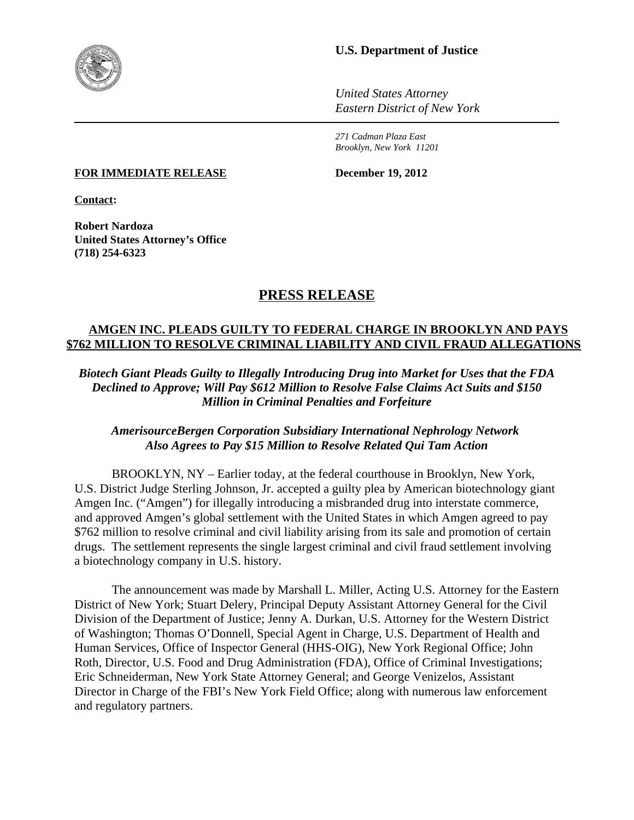

### **U.S. Department of Justice**

*United States Attorney Eastern District of New York*

*271 Cadman Plaza East Brooklyn, New York 11201*

**FOR IMMEDIATE RELEASE December 19, 2012**

**Contact:**

**Robert Nardoza United States Attorney's Office (718) 254-6323**

# **PRESS RELEASE**

## **AMGEN INC. PLEADS GUILTY TO FEDERAL CHARGE IN BROOKLYN AND PAYS \$762 MILLION TO RESOLVE CRIMINAL LIABILITY AND CIVIL FRAUD ALLEGATIONS**

*Biotech Giant Pleads Guilty to Illegally Introducing Drug into Market for Uses that the FDA Declined to Approve; Will Pay \$612 Million to Resolve False Claims Act Suits and \$150 Million in Criminal Penalties and Forfeiture*

### *AmerisourceBergen Corporation Subsidiary International Nephrology Network Also Agrees to Pay \$15 Million to Resolve Related Qui Tam Action*

BROOKLYN, NY – Earlier today, at the federal courthouse in Brooklyn, New York, U.S. District Judge Sterling Johnson, Jr. accepted a guilty plea by American biotechnology giant Amgen Inc. ("Amgen") for illegally introducing a misbranded drug into interstate commerce, and approved Amgen's global settlement with the United States in which Amgen agreed to pay \$762 million to resolve criminal and civil liability arising from its sale and promotion of certain drugs. The settlement represents the single largest criminal and civil fraud settlement involving a biotechnology company in U.S. history.

The announcement was made by Marshall L. Miller, Acting U.S. Attorney for the Eastern District of New York; Stuart Delery, Principal Deputy Assistant Attorney General for the Civil Division of the Department of Justice; Jenny A. Durkan, U.S. Attorney for the Western District of Washington; Thomas O'Donnell, Special Agent in Charge, U.S. Department of Health and Human Services, Office of Inspector General (HHS-OIG), New York Regional Office; John Roth, Director, U.S. Food and Drug Administration (FDA), Office of Criminal Investigations; Eric Schneiderman, New York State Attorney General; and George Venizelos, Assistant Director in Charge of the FBI's New York Field Office; along with numerous law enforcement and regulatory partners.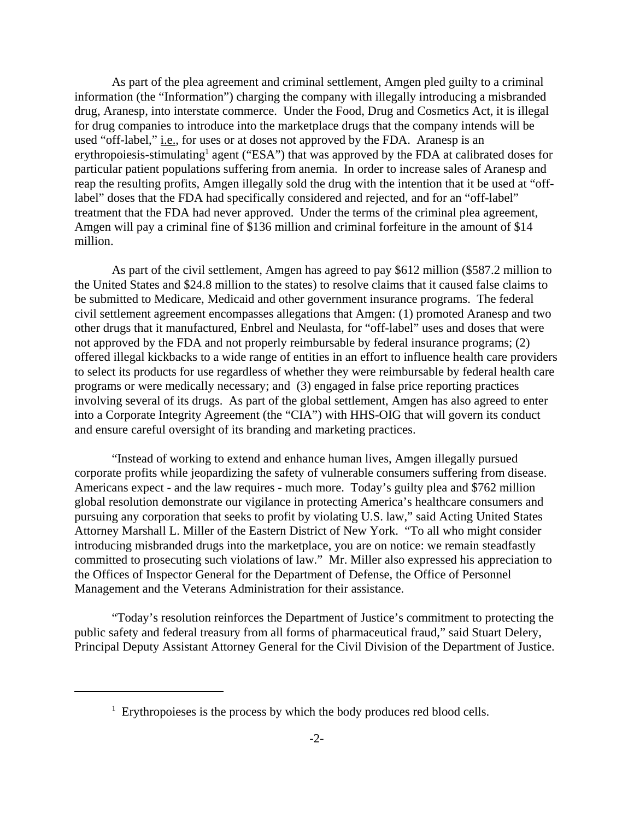As part of the plea agreement and criminal settlement, Amgen pled guilty to a criminal information (the "Information") charging the company with illegally introducing a misbranded drug, Aranesp, into interstate commerce. Under the Food, Drug and Cosmetics Act, it is illegal for drug companies to introduce into the marketplace drugs that the company intends will be used "off-label," i.e., for uses or at doses not approved by the FDA. Aranesp is an erythropoiesis-stimulating<sup>1</sup> agent ("ESA") that was approved by the FDA at calibrated doses for particular patient populations suffering from anemia. In order to increase sales of Aranesp and reap the resulting profits, Amgen illegally sold the drug with the intention that it be used at "offlabel" doses that the FDA had specifically considered and rejected, and for an "off-label" treatment that the FDA had never approved. Under the terms of the criminal plea agreement, Amgen will pay a criminal fine of \$136 million and criminal forfeiture in the amount of \$14 million.

As part of the civil settlement, Amgen has agreed to pay \$612 million (\$587.2 million to the United States and \$24.8 million to the states) to resolve claims that it caused false claims to be submitted to Medicare, Medicaid and other government insurance programs. The federal civil settlement agreement encompasses allegations that Amgen: (1) promoted Aranesp and two other drugs that it manufactured, Enbrel and Neulasta, for "off-label" uses and doses that were not approved by the FDA and not properly reimbursable by federal insurance programs; (2) offered illegal kickbacks to a wide range of entities in an effort to influence health care providers to select its products for use regardless of whether they were reimbursable by federal health care programs or were medically necessary; and (3) engaged in false price reporting practices involving several of its drugs. As part of the global settlement, Amgen has also agreed to enter into a Corporate Integrity Agreement (the "CIA") with HHS-OIG that will govern its conduct and ensure careful oversight of its branding and marketing practices.

"Instead of working to extend and enhance human lives, Amgen illegally pursued corporate profits while jeopardizing the safety of vulnerable consumers suffering from disease. Americans expect - and the law requires - much more. Today's guilty plea and \$762 million global resolution demonstrate our vigilance in protecting America's healthcare consumers and pursuing any corporation that seeks to profit by violating U.S. law," said Acting United States Attorney Marshall L. Miller of the Eastern District of New York. "To all who might consider introducing misbranded drugs into the marketplace, you are on notice: we remain steadfastly committed to prosecuting such violations of law."Mr. Miller also expressed his appreciation to the Offices of Inspector General for the Department of Defense, the Office of Personnel Management and the Veterans Administration for their assistance.

"Today's resolution reinforces the Department of Justice's commitment to protecting the public safety and federal treasury from all forms of pharmaceutical fraud," said Stuart Delery, Principal Deputy Assistant Attorney General for the Civil Division of the Department of Justice.

 $1$  Erythropoieses is the process by which the body produces red blood cells.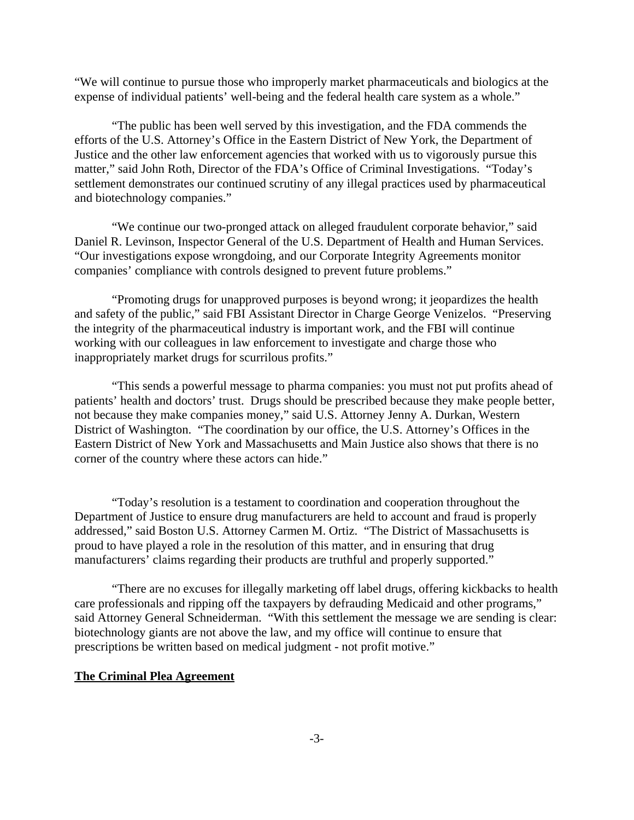"We will continue to pursue those who improperly market pharmaceuticals and biologics at the expense of individual patients' well-being and the federal health care system as a whole."

"The public has been well served by this investigation, and the FDA commends the efforts of the U.S. Attorney's Office in the Eastern District of New York, the Department of Justice and the other law enforcement agencies that worked with us to vigorously pursue this matter," said John Roth, Director of the FDA's Office of Criminal Investigations. "Today's settlement demonstrates our continued scrutiny of any illegal practices used by pharmaceutical and biotechnology companies."

"We continue our two-pronged attack on alleged fraudulent corporate behavior," said Daniel R. Levinson, Inspector General of the U.S. Department of Health and Human Services. "Our investigations expose wrongdoing, and our Corporate Integrity Agreements monitor companies' compliance with controls designed to prevent future problems."

"Promoting drugs for unapproved purposes is beyond wrong; it jeopardizes the health and safety of the public," said FBI Assistant Director in Charge George Venizelos. "Preserving the integrity of the pharmaceutical industry is important work, and the FBI will continue working with our colleagues in law enforcement to investigate and charge those who inappropriately market drugs for scurrilous profits."

"This sends a powerful message to pharma companies: you must not put profits ahead of patients' health and doctors' trust. Drugs should be prescribed because they make people better, not because they make companies money," said U.S. Attorney Jenny A. Durkan, Western District of Washington. "The coordination by our office, the U.S. Attorney's Offices in the Eastern District of New York and Massachusetts and Main Justice also shows that there is no corner of the country where these actors can hide."

"Today's resolution is a testament to coordination and cooperation throughout the Department of Justice to ensure drug manufacturers are held to account and fraud is properly addressed," said Boston U.S. Attorney Carmen M. Ortiz. "The District of Massachusetts is proud to have played a role in the resolution of this matter, and in ensuring that drug manufacturers' claims regarding their products are truthful and properly supported."

"There are no excuses for illegally marketing off label drugs, offering kickbacks to health care professionals and ripping off the taxpayers by defrauding Medicaid and other programs," said Attorney General Schneiderman. "With this settlement the message we are sending is clear: biotechnology giants are not above the law, and my office will continue to ensure that prescriptions be written based on medical judgment - not profit motive."

#### **The Criminal Plea Agreement**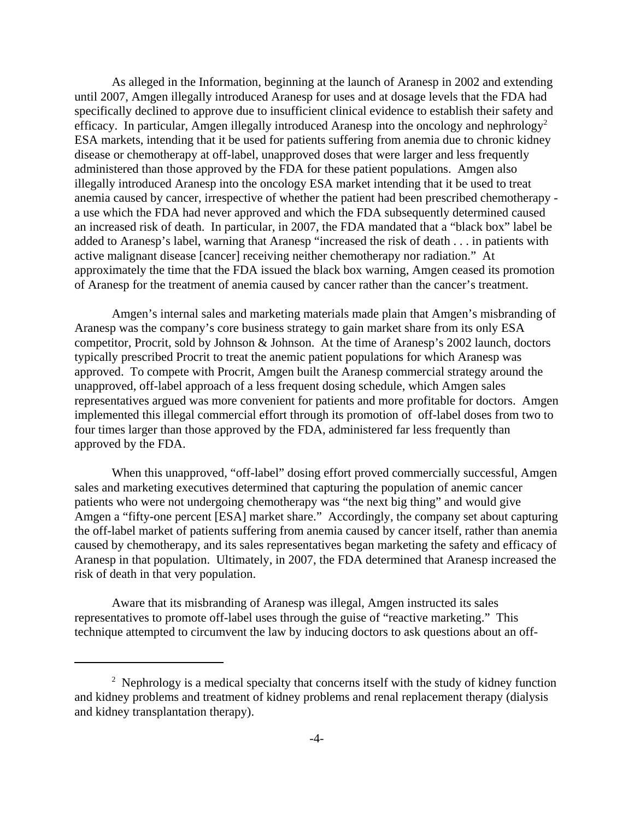As alleged in the Information, beginning at the launch of Aranesp in 2002 and extending until 2007, Amgen illegally introduced Aranesp for uses and at dosage levels that the FDA had specifically declined to approve due to insufficient clinical evidence to establish their safety and efficacy. In particular, Amgen illegally introduced Aranesp into the oncology and nephrology<sup>2</sup> ESA markets, intending that it be used for patients suffering from anemia due to chronic kidney disease or chemotherapy at off-label, unapproved doses that were larger and less frequently administered than those approved by the FDA for these patient populations. Amgen also illegally introduced Aranesp into the oncology ESA market intending that it be used to treat anemia caused by cancer, irrespective of whether the patient had been prescribed chemotherapy a use which the FDA had never approved and which the FDA subsequently determined caused an increased risk of death. In particular, in 2007, the FDA mandated that a "black box" label be added to Aranesp's label, warning that Aranesp "increased the risk of death . . . in patients with active malignant disease [cancer] receiving neither chemotherapy nor radiation." At approximately the time that the FDA issued the black box warning, Amgen ceased its promotion of Aranesp for the treatment of anemia caused by cancer rather than the cancer's treatment.

Amgen's internal sales and marketing materials made plain that Amgen's misbranding of Aranesp was the company's core business strategy to gain market share from its only ESA competitor, Procrit, sold by Johnson & Johnson. At the time of Aranesp's 2002 launch, doctors typically prescribed Procrit to treat the anemic patient populations for which Aranesp was approved. To compete with Procrit, Amgen built the Aranesp commercial strategy around the unapproved, off-label approach of a less frequent dosing schedule, which Amgen sales representatives argued was more convenient for patients and more profitable for doctors. Amgen implemented this illegal commercial effort through its promotion of off-label doses from two to four times larger than those approved by the FDA, administered far less frequently than approved by the FDA.

When this unapproved, "off-label" dosing effort proved commercially successful, Amgen sales and marketing executives determined that capturing the population of anemic cancer patients who were not undergoing chemotherapy was "the next big thing" and would give Amgen a "fifty-one percent [ESA] market share." Accordingly, the company set about capturing the off-label market of patients suffering from anemia caused by cancer itself, rather than anemia caused by chemotherapy, and its sales representatives began marketing the safety and efficacy of Aranesp in that population. Ultimately, in 2007, the FDA determined that Aranesp increased the risk of death in that very population.

Aware that its misbranding of Aranesp was illegal, Amgen instructed its sales representatives to promote off-label uses through the guise of "reactive marketing." This technique attempted to circumvent the law by inducing doctors to ask questions about an off-

<sup>&</sup>lt;sup>2</sup> Nephrology is a medical specialty that concerns itself with the study of kidney function and kidney problems and treatment of kidney problems and renal replacement therapy (dialysis and kidney transplantation therapy).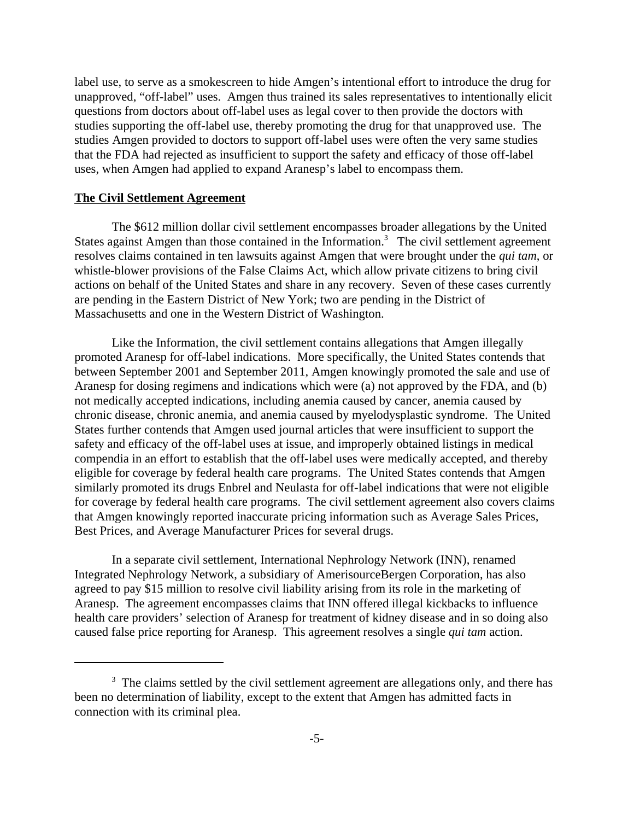label use, to serve as a smokescreen to hide Amgen's intentional effort to introduce the drug for unapproved, "off-label" uses. Amgen thus trained its sales representatives to intentionally elicit questions from doctors about off-label uses as legal cover to then provide the doctors with studies supporting the off-label use, thereby promoting the drug for that unapproved use. The studies Amgen provided to doctors to support off-label uses were often the very same studies that the FDA had rejected as insufficient to support the safety and efficacy of those off-label uses, when Amgen had applied to expand Aranesp's label to encompass them.

### **The Civil Settlement Agreement**

The \$612 million dollar civil settlement encompasses broader allegations by the United States against Amgen than those contained in the Information.<sup>3</sup> The civil settlement agreement resolves claims contained in ten lawsuits against Amgen that were brought under the *qui tam*, or whistle-blower provisions of the False Claims Act, which allow private citizens to bring civil actions on behalf of the United States and share in any recovery. Seven of these cases currently are pending in the Eastern District of New York; two are pending in the District of Massachusetts and one in the Western District of Washington.

Like the Information, the civil settlement contains allegations that Amgen illegally promoted Aranesp for off-label indications. More specifically, the United States contends that between September 2001 and September 2011, Amgen knowingly promoted the sale and use of Aranesp for dosing regimens and indications which were (a) not approved by the FDA, and (b) not medically accepted indications, including anemia caused by cancer, anemia caused by chronic disease, chronic anemia, and anemia caused by myelodysplastic syndrome. The United States further contends that Amgen used journal articles that were insufficient to support the safety and efficacy of the off-label uses at issue, and improperly obtained listings in medical compendia in an effort to establish that the off-label uses were medically accepted, and thereby eligible for coverage by federal health care programs. The United States contends that Amgen similarly promoted its drugs Enbrel and Neulasta for off-label indications that were not eligible for coverage by federal health care programs. The civil settlement agreement also covers claims that Amgen knowingly reported inaccurate pricing information such as Average Sales Prices, Best Prices, and Average Manufacturer Prices for several drugs.

In a separate civil settlement, International Nephrology Network (INN), renamed Integrated Nephrology Network, a subsidiary of AmerisourceBergen Corporation, has also agreed to pay \$15 million to resolve civil liability arising from its role in the marketing of Aranesp. The agreement encompasses claims that INN offered illegal kickbacks to influence health care providers' selection of Aranesp for treatment of kidney disease and in so doing also caused false price reporting for Aranesp. This agreement resolves a single *qui tam* action.

<sup>&</sup>lt;sup>3</sup> The claims settled by the civil settlement agreement are allegations only, and there has been no determination of liability, except to the extent that Amgen has admitted facts in connection with its criminal plea.